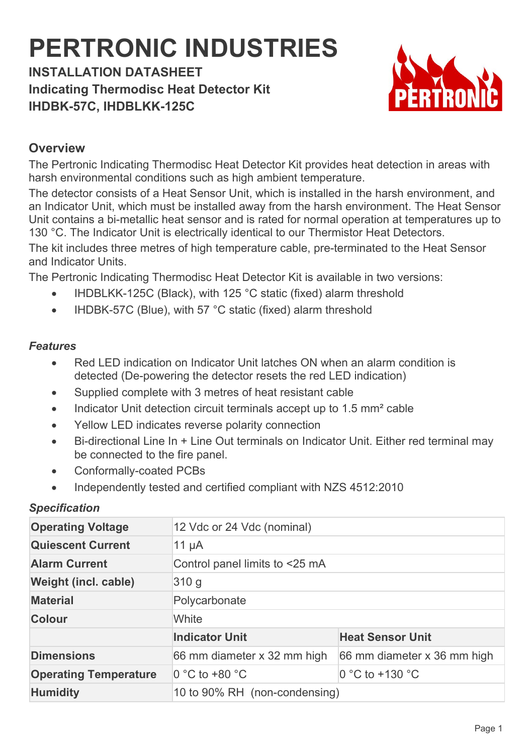# **PERTRONIC INDUSTRIES**

**INSTALLATION DATASHEET Indicating Thermodisc Heat Detector Kit IHDBK-57C, IHDBLKK-125C**



## **Overview**

The Pertronic Indicating Thermodisc Heat Detector Kit provides heat detection in areas with harsh environmental conditions such as high ambient temperature.

The detector consists of a Heat Sensor Unit, which is installed in the harsh environment, and an Indicator Unit, which must be installed away from the harsh environment. The Heat Sensor Unit contains a bi-metallic heat sensor and is rated for normal operation at temperatures up to 130 °C. The Indicator Unit is electrically identical to our Thermistor Heat Detectors.

The kit includes three metres of high temperature cable, pre-terminated to the Heat Sensor and Indicator Units.

The Pertronic Indicating Thermodisc Heat Detector Kit is available in two versions:

- IHDBLKK-125C (Black), with 125 °C static (fixed) alarm threshold
- IHDBK-57C (Blue), with 57 °C static (fixed) alarm threshold

### *Features*

- Red LED indication on Indicator Unit latches ON when an alarm condition is detected (De-powering the detector resets the red LED indication)
- Supplied complete with 3 metres of heat resistant cable
- Indicator Unit detection circuit terminals accept up to 1.5 mm<sup>2</sup> cable
- Yellow LED indicates reverse polarity connection
- Bi-directional Line In + Line Out terminals on Indicator Unit. Either red terminal may be connected to the fire panel.
- Conformally-coated PCBs
- Independently tested and certified compliant with NZS 4512:2010

#### *Specification*

| <b>Operating Voltage</b>     | 12 Vdc or 24 Vdc (nominal)     |                             |
|------------------------------|--------------------------------|-----------------------------|
| <b>Quiescent Current</b>     | 11 $\mu$ A                     |                             |
| <b>Alarm Current</b>         | Control panel limits to <25 mA |                             |
| Weight (incl. cable)         | 310 <sub>g</sub>               |                             |
| <b>Material</b>              | Polycarbonate                  |                             |
| Colour                       | White                          |                             |
|                              | <b>Indicator Unit</b>          | <b>Heat Sensor Unit</b>     |
| <b>Dimensions</b>            | 66 mm diameter x 32 mm high    | 66 mm diameter x 36 mm high |
| <b>Operating Temperature</b> | 0 °C to +80 °C                 | $0 °C$ to +130 $ °C$        |
| <b>Humidity</b>              | 10 to 90% RH (non-condensing)  |                             |